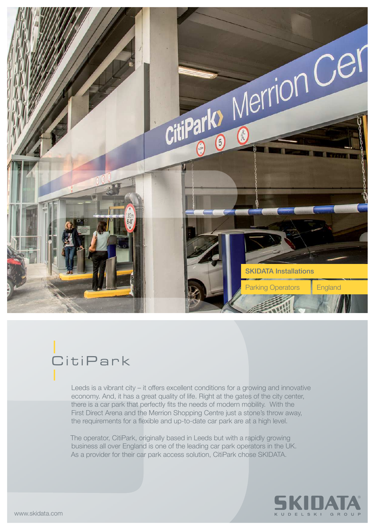

## **CitiPark**

Leeds is a vibrant city – it offers excellent conditions for a growing and innovative economy. And, it has a great quality of life. Right at the gates of the city center, there is a car park that perfectly fits the needs of modern mobility. With the First Direct Arena and the Merrion Shopping Centre just a stone's throw away, the requirements for a flexible and up-to-date car park are at a high level.

The operator, CitiPark, originally based in Leeds but with a rapidly growing business all over England is one of the leading car park operators in the UK. As a provider for their car park access solution, CitiPark chose SKIDATA.